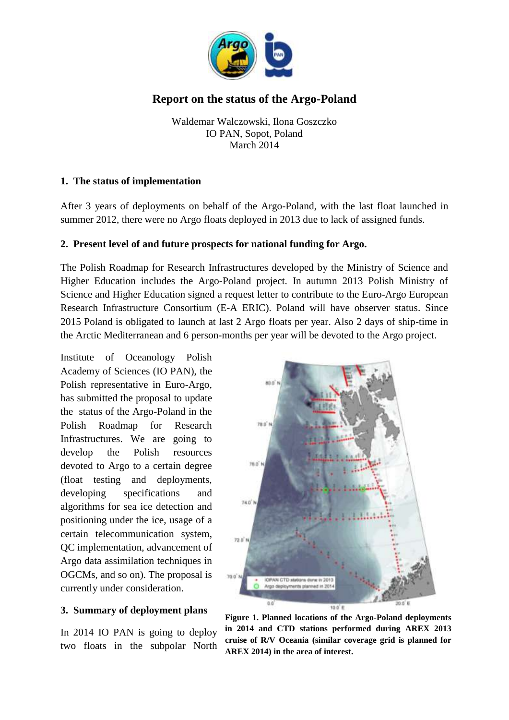

# **Report on the status of the Argo-Poland**

Waldemar Walczowski, Ilona Goszczko IO PAN, Sopot, Poland March 2014

#### **1. The status of implementation**

After 3 years of deployments on behalf of the Argo-Poland, with the last float launched in summer 2012, there were no Argo floats deployed in 2013 due to lack of assigned funds.

#### **2. Present level of and future prospects for national funding for Argo.**

The Polish Roadmap for Research Infrastructures developed by the Ministry of Science and Higher Education includes the Argo-Poland project. In autumn 2013 Polish Ministry of Science and Higher Education signed a request letter to contribute to the Euro-Argo European Research Infrastructure Consortium (E-A ERIC). Poland will have observer status. Since 2015 Poland is obligated to launch at last 2 Argo floats per year. Also 2 days of ship-time in the Arctic Mediterranean and 6 person-months per year will be devoted to the Argo project.

Institute of Oceanology Polish Academy of Sciences (IO PAN), the Polish representative in Euro-Argo, has submitted the proposal to update the status of the Argo-Poland in the Polish Roadmap for Research Infrastructures. We are going to develop the Polish resources devoted to Argo to a certain degree (float testing and deployments, developing specifications and algorithms for sea ice detection and positioning under the ice, usage of a certain telecommunication system, QC implementation, advancement of Argo data assimilation techniques in OGCMs, and so on). The proposal is currently under consideration.

#### **3. Summary of deployment plans**

In 2014 IO PAN is going to deploy two floats in the subpolar North



**Figure 1. Planned locations of the Argo-Poland deployments in 2014 and CTD stations performed during AREX 2013 cruise of R/V Oceania (similar coverage grid is planned for AREX 2014) in the area of interest.**